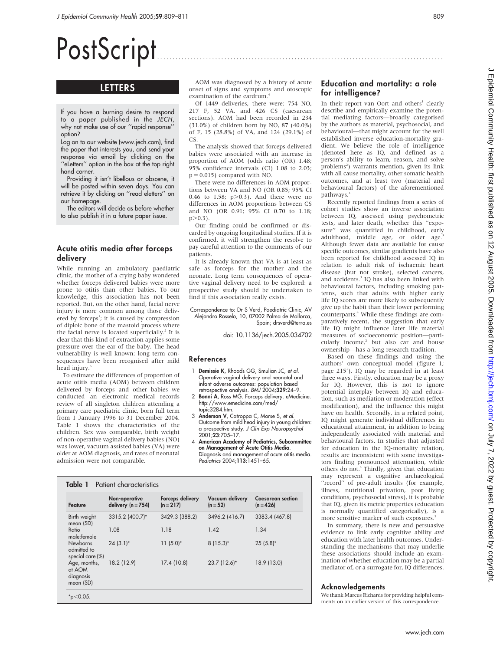# PostScript

# LETTERS

If you have a burning desire to respond to a paper published in the JECH, why not make use of our ''rapid response'' option?

Log on to our website (www.jech.com), find the paper that interests you, and send your response via email by clicking on the ''eLetters'' option in the box at the top right hand corner.

Providing it isn't libellous or obscene, it will be posted within seven days. You can retrieve it by clicking on ''read eletters'' on our homepage.

The editors will decide as before whether to also publish it in a future paper issue.

## Acute otitis media after forceps delivery

While running an ambulatory paediatric clinic, the mother of a crying baby wondered whether forceps delivered babies were more prone to otitis than other babies. To our knowledge, this association has not been reported. But, on the other hand, facial nerve injury is more common among those delivered by forceps<sup>1</sup>; it is caused by compression of diploic bone of the mastoid process where the facial nerve is located superficially.<sup>2</sup> It is clear that this kind of extraction applies some pressure over the ear of the baby. The head vulnerability is well known: long term consequences have been recognised after mild head injury.<sup>3</sup>

To estimate the differences of proportion of acute otitis media (AOM) between children delivered by forceps and other babies we conducted an electronic medical records review of all singleton children attending a primary care paediatric clinic, born full term from 1 January 1996 to 31 December 2004. Table 1 shows the characteristics of the children. Sex was comparable, birth weight of non-operative vaginal delivery babies (NO) was lower, vacuum assisted babies (VA) were older at AOM diagnosis, and rates of neonatal admission were not comparable.

Table 1 Patient characteristics

AOM was diagnosed by a history of acute onset of signs and symptoms and otoscopic examination of the eardrum.<sup>4</sup>

Of 1449 deliveries, there were: 754 NO, 217 F, 52 VA, and 426 CS (caesarean sections). AOM had been recorded in 234 (31.0%) of children born by NO, 87 (40.0%) of F, 15 (28.8%) of VA, and 124 (29.1%) of CS.

The analysis showed that forceps delivered babies were associated with an increase in proportion of AOM (odds ratio (OR) 1.48; 95% confidence intervals (CI) 1.08 to 2.03;  $p = 0.015$ ) compared with NO.

There were no differences in AOM proportions between VA and NO (OR 0.85; 95% CI 0.46 to 1.58;  $p>0.3$ ). And there were no differences in AOM proportions between CS and NO (OR 0.91; 95% CI 0.70 to 1.18;  $p > 0.3$ ).

Our finding could be confirmed or discarded by ongoing longitudinal studies. If it is confirmed, it will strengthen the resolve to pay careful attention to the comments of our patients.

It is already known that VA is at least as safe as forceps for the mother and the neonate. Long term consequences of operative vaginal delivery need to be explored: a prospective study should be undertaken to find if this association really exists.

#### Correspondence to: Dr S Verd, Paediatric Clinic, AV Alejandro Rosselo, 10, 07002 Palma de Mallorca, Spain; drsverd@terra.es

doi: 10.1136/jech.2005.034702

#### References

- 1 Demissie K, Rhoads GG, Smulian JC, et al. Operative vaginal delivery and neonatal and infant adverse outcomes: population based retrospective analysis. BMJ 2004;329:24–9.
- 2 Bonni A, Ross MG. Forceps delivery. eMedicine http://www.emedicine.com/med/ topic3284.htm.
- 3 Anderson V, Catroppa C, Morse S, et al. Outcome from mild head injury in young children: a prospective study. J Clin Exp Neuropsychol 2001;23:705–17.
- 4 American Academy of Pediatrics, Subcommittee on Management of Acute Otitis Media. Diagnosis and management of acute otitis media. Pediatrics 2004;113:1451–65.

| Feature                                            | Non-operative<br>delivery $(n = 754)$ | Forceps delivery<br>$(n = 217)$ | Vacuum delivery<br>$(n = 52)$ | <b>Caesarean section</b><br>$(n = 426)$ |
|----------------------------------------------------|---------------------------------------|---------------------------------|-------------------------------|-----------------------------------------|
| Birth weight<br>mean (SD)                          | 3315.2 (400.7)*                       | 3429.3 (388.2)                  | 3496.2 (416.7)                | 3383.4 (467.8)                          |
| Ratio<br>male: female                              | 1.08                                  | 1.18                            | 1.42                          | 1.34                                    |
| <b>Newborns</b><br>admitted to<br>special care (%) | $24(3.1)$ *                           | $11(5.0)^*$                     | $8(15.3)*$                    | $25(5.8)$ *                             |
| Age, months,<br>at AOM<br>diagnosis<br>mean (SD)   | 18.2 (12.9)                           | 17.4 (10.8)                     | 23.7 (12.6)*                  | 18.9 (13.0)                             |

# Education and mortality: a role for intelligence?

In their report van Oort and others<sup>1</sup> clearly describe and empirically examine the potential mediating factors—broadly categorised by the authors as material, psychosocial, and behavioural—that might account for the well established inverse education-mortality gradient. We believe the role of intelligence (denoted here as IQ, and defined as a person's ability to learn, reason, and solve problems<sup>2</sup>) warrants mention, given its link with all cause mortality, other somatic health outcomes, and at least two (material and behavioural factors) of the aforementioned pathways.<sup>3</sup>

Recently reported findings from a series of cohort studies show an inverse association between IQ, assessed using psychometric tests, and later death, whether this ''exposure'' was quantified in childhood, early adulthood, middle age, or older age.<sup>3</sup> Although fewer data are available for cause specific outcomes, similar gradients have also been reported for childhood assessed IQ in relation to adult risk of ischaemic heart disease (but not stroke), selected cancers, and accidents.<sup>3</sup> IQ has also been linked with behavioural factors, including smoking patterns, such that adults with higher early life IQ scores are more likely to subsequently give up the habit than their lower performing counterparts.<sup>4</sup> While these findings are comparatively recent, the suggestion that early life IQ might influence later life material measures of socioeconomic position—particularly income,<sup>2</sup> but also car and house ownership—has a long research tradition.

Based on these findings and using the authors' own conceptual model (figure 1; page 215<sup>1</sup>), IQ may be regarded in at least three ways. Firstly, education may be a proxy for IQ. However, this is not to ignore potential interplay between IQ and education, such as mediation or moderation (effect modification), and the influence this might have on health. Secondly, in a related point, IQ might generate individual differences in educational attainment, in addition to being independently associated with material and behavioural factors. In studies that adjusted for education in the IQ-mortality relation, results are inconsistent with some investigators finding pronounced attenuation, while others do not.<sup>3</sup> Thirdly, given that education may represent a cognitive archaeological "record" of pre-adult insults (for example, illness, nutritional privation, poor living conditions, psychosocial stress), it is probable that IQ, given its metric properties (education is normally quantified categorically), is a more sensitive marker of such exposures.<sup>5</sup>

In summary, there is new and persuasive evidence to link early cognitive ability and education with later health outcomes. Understanding the mechanisms that may underlie these associations should include an examination of whether education may be a partial mediator of, or a surrogate for, IQ differences.

#### Acknowledgements

We thank Marcus Richards for providing helpful comments on an earlier version of this correspondence.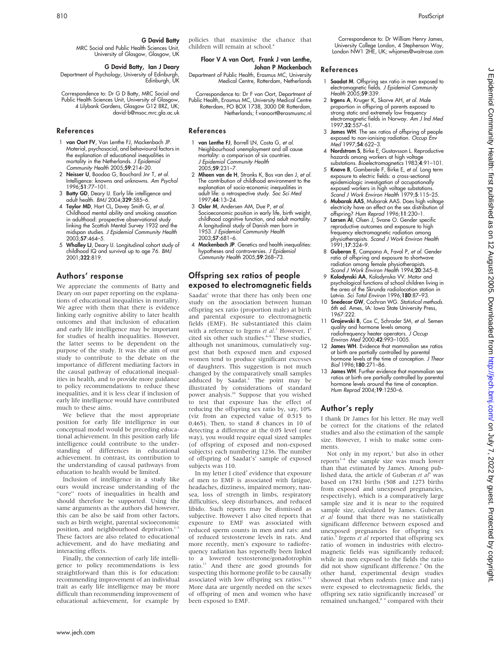G David Batty, Ian J Deary Department of Psychology, University of Edinburgh, Edinburgh, UK

MRC Social and Public Health Sciences Unit, University of Glasgow, Glasgow, UK

G David Batty

Correspondence to: Dr G D Batty, MRC Social and Public Health Sciences Unit, University of Glasgow, 4 Lilybank Gardens, Glasgow G12 8RZ, UK; david-b@msoc.mrc.gla.ac.uk

# References

- 1 van Oort FV, Van Lenthe FJ, Mackenbach JP. Material, psychosocial, and behavioural factors in the explanation of educational inequalities in mortality in the Netherlands. J Epidemiol Community Health 2005;59:214-20.
- 2 Neisser U, Boodoo G, Bouchard Jnr T, et al. Intelligence: knowns and unknowns. Am Psychol 1996;51:77–101.
- 3 Batty GD, Deary IJ. Early life intelligence and adult health. BMJ 2004;329:585–6.
- 4 Taylor MD, Hart CL, Davey Smith G, et al. Childhood mental ability and smoking cessation in adulthood: prospective observational study linking the Scottish Mental Survey 1932 and the midspan studies. J Epidemiol Community Health 2003;57:464–5.
- 5 Whalley LJ, Deary IJ. Longitudinal cohort study of childhood IQ and survival up to age 76. BMJ 2001;322:819.

# Authors' response

We appreciate the comments of Batty and Deary on our paper reporting on the explanations of educational inequalities in mortality. We agree with them that there is evidence linking early cognitive ability to later health outcomes and that inclusion of education and early life intelligence may be important for studies of health inequalities. However, the latter seems to be dependent on the purpose of the study. It was the aim of our study to contribute to the debate on the importance of different mediating factors in the causal pathway of educational inequalities in health, and to provide more guidance to policy recommendations to reduce these inequalities, and it is less clear if inclusion of early life intelligence would have contributed much to these aims.

We believe that the most appropriate position for early life intelligence in our conceptual model would be preceding educational achievement. In this position early life intelligence could contribute to the understanding of differences in educational achievement. In contrast, its contribution to the understanding of causal pathways from education to health would be limited.

Inclusion of intelligence in a study like ours would increase understanding of the "core" roots of inequalities in health and should therefore be supported. Using the same arguments as the authors did however, this can be also be said from other factors, such as birth weight, parental socioeconomic position, and neighbourhood deprivation.<sup>1</sup> These factors are also related to educational achievement, and do have mediating and interacting effects.

Finally, the connection of early life intelligence to policy recommendations is less straightforward than this is for education: recommending improvement of an individual trait as early life intelligence may be more difficult than recommending improvement of educational achievement, for example by policies that maximise the chance that children will remain at school.4

#### Floor V A van Oort, Frank J van Lenthe, Johan P Mackenbach

Department of Public Health, Erasmus MC, University Medical Centre, Rotterdam, Netherlands

Correspondence to: Dr F van Oort, Department of Public Health, Erasmus MC, University Medical Centre Rotterdam, PO BOX 1738, 3000 DR Rotterdam, Netherlands; f.vanoort@erasmusmc.nl

# References

- 1 van Lenthe FJ, Borrell LN, Costa G, et al. Neighbourhood unemployment and all cause mortality: a comparison of six countries. J Epidemiol Community Health 2005;59:231–7.
- 2 Mheen van de H, Stronks K, Bos van den J, et al. The contribution of childhood environment to the explanation of socio-economic inequalities in adult life: a retrospective study. Soc Sci Med 1997;44:13–24.
- 3 Osler M, Andersen AM, Due P, et al. Socioeconomic position in early life, birth weight, childhood cognitive function, and adult mortality. A longitudinal study of Danish men born in 1953. J Epidemiol Community Health 2003;57:681–6.
- 4 Mackenbach JP. Genetics and health inequalities: hypotheses and controversies. J Epidemiol  $Commuty$  Health 2005;59:268-73.

# Offspring sex ratios of people exposed to electromagnetic fields

Saadat<sup>1</sup> wrote that there has only been one study on the association between human offspring sex ratio (proportion male) at birth and parental exposure to electromagnetic fields (EMF). He substantiated this claim with a reference to Irgens et al.<sup>2</sup> However, I<sup>3</sup> cited six other such studies.<sup>4-9</sup> These studies, although not unanimous, cumulatively suggest that both exposed men and exposed women tend to produce significant excesses of daughters. This suggestion is not much changed by the comparatively small samples adduced by Saadat.<sup>1</sup> The point may be illustrated by considerations of standard power analysis.<sup>10</sup> Suppose that you wished to test that exposure has the effect of reducing the offspring sex ratio by, say, 10% (viz from an expected value of 0.515 to 0.465). Then, to stand 8 chances in 10 of detecting a difference at the 0.05 level (one way), you would require equal sized samples (of offspring of exposed and non-exposed subjects) each numbering 1236. The number of offspring of Saadat's<sup>1</sup> sample of exposed subjects was 110.

In my letter I cited<sup>3</sup> evidence that exposure of men to EMF is associated with fatigue, headaches, dizziness, impaired memory, nausea, loss of strength in limbs, respiratory difficulties, sleep disturbances, and reduced libido. Such reports may be dismissed as subjective. However I also cited reports that exposure to EMF was associated with reduced sperm counts in men and rats: and of reduced testosterone levels in rats. And more recently, men's exposure to radiofrequency radiation has reportedly been linked to a lowered testosterone/gonadotrophin ratio.<sup>11</sup> And there are good grounds for suspecting this hormone profile to be causally associated with low offspring sex ratios.<sup>12 13</sup> More data are urgently needed on the sexes of offspring of men and women who have been exposed to EMF.

Correspondence to: Dr William Henry James, University College London, 4 Stephenson Way, London NW1 2HE, UK; whjames@waitrose.com

#### References

- 1 Saadat M. Offspring sex ratio in men exposed to electromagnetic fields. J Epidemiol Community Health 2005;**59**:339.
- 2 Irgens A, Kruger K, Skorve AH, et al. Male proportion in offspring of parents exposed to strong static and extremely low frequency electromagnetic fields in Norway. Am J Ind Med 1997;32:557–61.
- 3 James WH. The sex ratios of offspring of people exposed to non-ionising radiation. Occup Env Med 1997;54:622–3.
- 4 **Nordstrom S**, Birke E, Gustavsson L. Reproductive hazards among workers at high voltage substations. Bioelectromagnetics 1983;4:91–101.
- 5 Knave B, Gamberale F, Birke E, et al. Long term exposure to electric fields: a cross-sectional epidemiologic investigation of occupationally exposed workers in high voltage substations. Scand J Work Environ Health 1979;5:115-25.
- 6 Mubarak AAS, Mubarak AAS. Does high voltage electricity have an effect on the sex distribution of
- offspring? *Hum Reprod* 1996;11:230–1.<br>7 **Larsen AI**, Olsen J, Svane O. Gender specific reproductive outcomes and exposure to high frequency electromagnetic radiation among physiotherapists. Scand J Work Environ Health 1991;17:324–9.
- 8 Guberan E, Campana A, Faval P, et al. Gender ratio of offspring and exposure to shortwave radiation among female physiotherapists. Scand J Work Environ Health 1994;20:345–8.
- 9 Kolodynski AA, Kolodynska VV. Motor and psychological functions of school children living in the area of the Skrunda radiolocation station in Latvia. Sci Total Environ 1996;180:87-93.
- 10 **Snedecor GW**, Cochran WG. Statistical methods. 6th ed. Ames, IA: Iowa State University Press, 1967:222.
- 11 Grajewski B, Cox C, Schrader SM, et al. Semen quality and hormone levels among radiofrequency heater operators. J Occup Environ Med 2000;42:993–1005.
- 12 James WH. Evidence that mammalian sex ratios at birth are partially controlled by parental hormone levels at the time of conception. J Theor Biol 1996;180:271–86.
- 13 James WH. Further evidence that mammalian sex ratios at birth are partially controlled by parental hormone levels around the time of conception. Hum Reprod 2004;19:1250–6.

## Author's reply

I thank Dr James for his letter. He may well be correct for the citations of the related studies and also the estimation of the sample size. However, I wish to make some comments.

Not only in my report, $\lambda$  but also in other reports<sup>2-4</sup> the sample size was much lower than that estimated by James. Among published data, the article of Guberan et  $aI^5$  was based on 1781 births (508 and 1273 births from exposed and unexposed pregnancies, respectively), which is a comparatively large sample size and it is near to the required sample size, calculated by James. Guberan et al found that there was no statistically significant difference between exposed and unexposed pregnancies for offspring sex ratio.<sup>5</sup> Irgens et al reported that offspring sex ratio of women in industries with electromagnetic fields was significantly reduced; while in men exposed to the fields the ratio did not show significant difference.<sup>6</sup> On the other hand, experimental design studies showed that when rodents (mice and rats) were exposed to electromagnetic fields, the offspring sex ratio significantly increased<sup>7</sup> or remained unchanged,<sup>8</sup> <sup>9</sup> compared with their